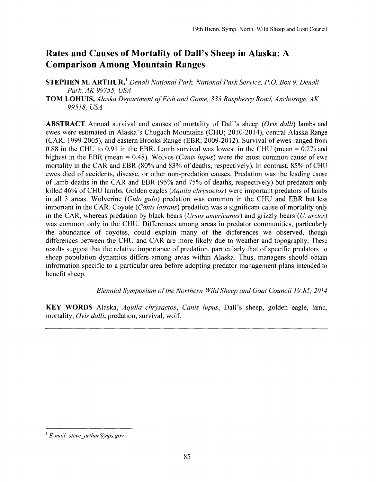## **Rates and Causes of Mortality of Dall's Sheep in Alaska: A Comparison Among Mountain Ranges**

**STEPHEN M. ARTHUR,1** *Denali National Park, National Park Service, P.* 0. *Box 9, Denali Park, AK 99755, USA* 

**TOM LOHUIS,** *Alaska Department ofFish and Game, 333 Raspberry Road, Anchorage, AK 99518, USA* 

**ABSTRACT** Annual survival and causes of mortality of Dall's sheep (Ovis dalli) lambs and ewes were estimated in Alaska's Chugach Mountains (CHU; 2010-2014), central Alaska Range (CAR; 1999-2005), and eastern Brooks Range (EBR; 2009-2012). Survival of ewes ranged from 0.88 in the CHU to 0.91 in the EBR. Lamb survival was lowest in the CHU (mean  $= 0.27$ ) and highest in the EBR (mean = 0.48). Wolves *(Canis lupus)* were the most common cause of ewe mortality in the CAR and EBR (80% and 83% of deaths, respectively). In contrast, 85% of CHU ewes died of accidents, disease, or other non-predation causes. Predation was the leading cause of lamb deaths in the CAR and EBR (95% and 75% of deaths, respectively) but predators only killed 46% of CHU lambs. Golden eagles *(Aquila chrysaetos)* were important predators of lambs in all 3 areas. Wolverine *(Gula gulo)* predation was common in the CHU and EBR but less important in the CAR. Coyote *(Canis latrans)* predation was a significant cause of mortality only in the CAR, whereas predation by black bears *(Ursus americanus)* and grizzly bears *(U arctos)*  was common only in the CHU. Differences among areas in predator communities, particularly the abundance of coyotes, could explain many of the differences we observed, though differences between the CHU and CAR are more likely due to weather and topography. These results suggest that the relative importance of predation, particularly that of specific predators, to sheep population dynamics differs among areas within Alaska. Thus, managers should obtain information specific to a particular area before adopting predator management plans intended to benefit sheep.

*Biennial Symposium of the Northern Wild Sheep and Goat Council 19:85; 2014* 

**KEY WORDS** Alaska, *Aquila chrysaetos, Canis lupus,* Dall's sheep, golden eagle, lamb, mortality, *Ovis dalli,* predation, survival, wolf.

<sup>1</sup>*E-mail: steve* \_*arthur@nps.gov*